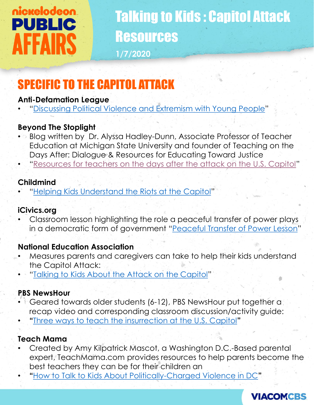# nickelodeon **PUBLIC AFFAIRS**

## Talking to Kids : Capitol Attack Resources **1/7/2020**

### SPECIFIC TO THE CAPITOL ATTACK

### **Anti-Defamation League**

• "[Discussing Political Violence and Extremism with Young People](https://www.sutori.com/story/discussing-political-violence-and-extremism-with-young-people--3tm3oXLqgApFvjqTx32nG5vE)"

### **Beyond The Stoplight**

- Blog written by Dr. Alyssa Hadley-Dunn, Associate Professor of Teacher Education at Michigan State University and founder of Teaching on the Days After: Dialogue & Resources for Educating Toward Justice
- "[Resources for teachers on the days after the attack on the U.S. Capitol](https://beyondthestoplight.com/2021/01/06/resources-for-teachers-on-the-days-after-the-attack-on-the-u-s-capitol/amp/?__twitter_impression=true&s=03)"

### **Childmind**

• "[Helping Kids Understand the Riots at the Capitol](https://childmind.org/blog/helping-kids-understand-the-riots-at-the-capitol/)"

### **iCivics.org**

• Classroom lesson highlighting the role a peaceful transfer of power plays in a democratic form of government "[Peaceful Transfer of Power Lesson](https://www.icivics.org/teachers/lesson-plans/peaceful-transfer-power-infographic)"

### **National Education Association**

- Measures parents and caregivers can take to help their kids understand the Capitol Attack:
- "[Talking to Kids About the Attack on the Capitol](https://www.nea.org/advocating-for-change/new-from-nea/talking-kids-about-attack-capitol)"

### **PBS NewsHour**

- Geared towards older students (6-12), PBS NewsHour put together a recap video and corresponding classroom discussion/activity guide:
- **"**[Three ways to teach the insurrection at the U.S. Capitol](https://www.pbs.org/newshour/extra/daily-videos/classroom-resource-insurrection-at-the-u-s-capitol/)**"**

### **Teach Mama**

- Created by Amy Kilpatrick Mascot, a Washington D.C.-Based parental expert, TeachMama.com provides resources to help parents become the best teachers they can be for their children an
- **"**[How to Talk to Kids About Politically-Charged Violence in DC](https://teachmama.com/how-to-talk-to-kids-about-violence-in-dc/)**"**